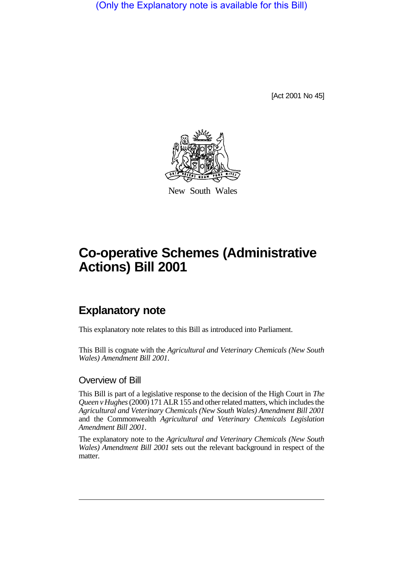(Only the Explanatory note is available for this Bill)

[Act 2001 No 45]



New South Wales

# **Co-operative Schemes (Administrative Actions) Bill 2001**

# **Explanatory note**

This explanatory note relates to this Bill as introduced into Parliament.

This Bill is cognate with the *Agricultural and Veterinary Chemicals (New South Wales) Amendment Bill 2001*.

#### Overview of Bill

This Bill is part of a legislative response to the decision of the High Court in *The Queen v Hughes* (2000) 171 ALR 155 and other related matters, which includes the *Agricultural and Veterinary Chemicals (New South Wales) Amendment Bill 2001* and the Commonwealth *Agricultural and Veterinary Chemicals Legislation Amendment Bill 2001*.

The explanatory note to the *Agricultural and Veterinary Chemicals (New South Wales) Amendment Bill 2001* sets out the relevant background in respect of the matter.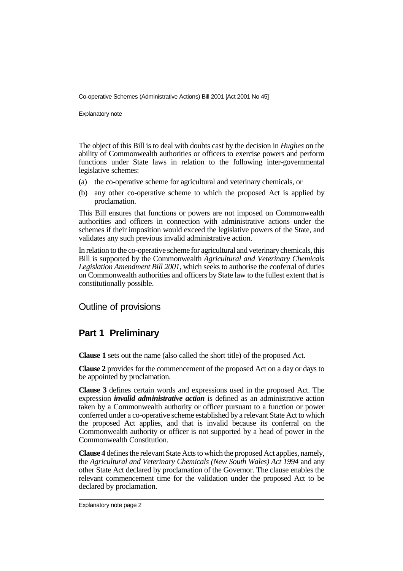Co-operative Schemes (Administrative Actions) Bill 2001 [Act 2001 No 45]

Explanatory note

The object of this Bill is to deal with doubts cast by the decision in *Hughes* on the ability of Commonwealth authorities or officers to exercise powers and perform functions under State laws in relation to the following inter-governmental legislative schemes:

- (a) the co-operative scheme for agricultural and veterinary chemicals, or
- (b) any other co-operative scheme to which the proposed Act is applied by proclamation.

This Bill ensures that functions or powers are not imposed on Commonwealth authorities and officers in connection with administrative actions under the schemes if their imposition would exceed the legislative powers of the State, and validates any such previous invalid administrative action.

In relation to the co-operative scheme for agricultural and veterinary chemicals, this Bill is supported by the Commonwealth *Agricultural and Veterinary Chemicals Legislation Amendment Bill 2001*, which seeks to authorise the conferral of duties on Commonwealth authorities and officers by State law to the fullest extent that is constitutionally possible.

#### Outline of provisions

#### **Part 1 Preliminary**

**Clause 1** sets out the name (also called the short title) of the proposed Act.

**Clause 2** provides for the commencement of the proposed Act on a day or days to be appointed by proclamation.

**Clause 3** defines certain words and expressions used in the proposed Act. The expression *invalid administrative action* is defined as an administrative action taken by a Commonwealth authority or officer pursuant to a function or power conferred under a co-operative scheme established by a relevant State Act to which the proposed Act applies, and that is invalid because its conferral on the Commonwealth authority or officer is not supported by a head of power in the Commonwealth Constitution.

**Clause 4** defines the relevant State Acts to which the proposed Act applies, namely, the *Agricultural and Veterinary Chemicals (New South Wales) Act 1994* and any other State Act declared by proclamation of the Governor. The clause enables the relevant commencement time for the validation under the proposed Act to be declared by proclamation.

Explanatory note page 2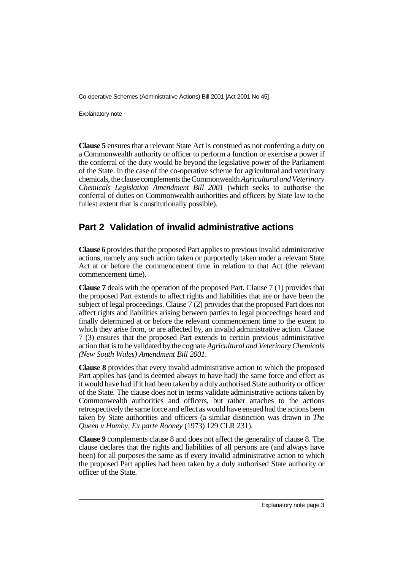Co-operative Schemes (Administrative Actions) Bill 2001 [Act 2001 No 45]

Explanatory note

**Clause 5** ensures that a relevant State Act is construed as not conferring a duty on a Commonwealth authority or officer to perform a function or exercise a power if the conferral of the duty would be beyond the legislative power of the Parliament of the State. In the case of the co-operative scheme for agricultural and veterinary chemicals, the clause complements the Commonwealth *Agricultural and Veterinary Chemicals Legislation Amendment Bill 2001* (which seeks to authorise the conferral of duties on Commonwealth authorities and officers by State law to the fullest extent that is constitutionally possible).

## **Part 2 Validation of invalid administrative actions**

**Clause 6** provides that the proposed Part applies to previous invalid administrative actions, namely any such action taken or purportedly taken under a relevant State Act at or before the commencement time in relation to that Act (the relevant commencement time).

**Clause 7** deals with the operation of the proposed Part. Clause 7 (1) provides that the proposed Part extends to affect rights and liabilities that are or have been the subject of legal proceedings. Clause 7 (2) provides that the proposed Part does not affect rights and liabilities arising between parties to legal proceedings heard and finally determined at or before the relevant commencement time to the extent to which they arise from, or are affected by, an invalid administrative action. Clause 7 (3) ensures that the proposed Part extends to certain previous administrative action that is to be validated by the cognate *Agricultural and Veterinary Chemicals (New South Wales) Amendment Bill 2001*.

**Clause 8** provides that every invalid administrative action to which the proposed Part applies has (and is deemed always to have had) the same force and effect as it would have had if it had been taken by a duly authorised State authority or officer of the State. The clause does not in terms validate administrative actions taken by Commonwealth authorities and officers, but rather attaches to the actions retrospectively the same force and effect as would have ensued had the actions been taken by State authorities and officers (a similar distinction was drawn in *The Queen v Humby, Ex parte Rooney* (1973) 129 CLR 231).

**Clause 9** complements clause 8 and does not affect the generality of clause 8. The clause declares that the rights and liabilities of all persons are (and always have been) for all purposes the same as if every invalid administrative action to which the proposed Part applies had been taken by a duly authorised State authority or officer of the State.